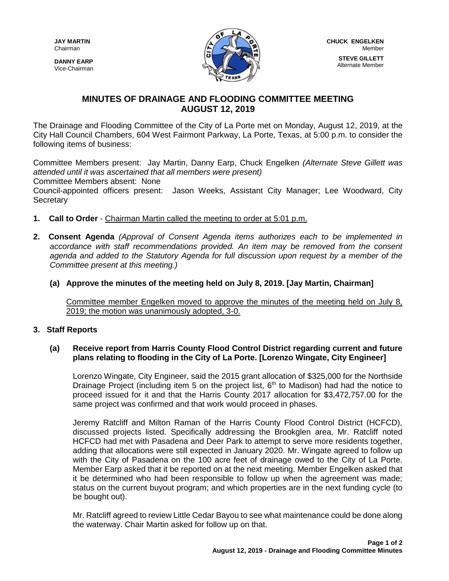**DANNY EARP** Vice-Chairman



# **MINUTES OF DRAINAGE AND FLOODING COMMITTEE MEETING AUGUST 12, 2019**

The Drainage and Flooding Committee of the City of La Porte met on Monday, August 12, 2019, at the City Hall Council Chambers, 604 West Fairmont Parkway, La Porte, Texas, at 5:00 p.m. to consider the following items of business:

Committee Members present: Jay Martin, Danny Earp, Chuck Engelken *(Alternate Steve Gillett was attended until it was ascertained that all members were present)*

Committee Members absent: None

Council-appointed officers present: Jason Weeks, Assistant City Manager; Lee Woodward, City **Secretary** 

- **1. Call to Order** Chairman Martin called the meeting to order at 5:01 p.m.
- **2. Consent Agenda** *(Approval of Consent Agenda items authorizes each to be implemented in accordance with staff recommendations provided. An item may be removed from the consent agenda and added to the Statutory Agenda for full discussion upon request by a member of the Committee present at this meeting.)*
	- **(a) Approve the minutes of the meeting held on July 8, 2019. [Jay Martin, Chairman]**

Committee member Engelken moved to approve the minutes of the meeting held on July 8, 2019; the motion was unanimously adopted, 3-0.

# **3. Staff Reports**

### **(a) Receive report from Harris County Flood Control District regarding current and future plans relating to flooding in the City of La Porte. [Lorenzo Wingate, City Engineer]**

Lorenzo Wingate, City Engineer, said the 2015 grant allocation of \$325,000 for the Northside Drainage Project (including item 5 on the project list,  $6<sup>th</sup>$  to Madison) had had the notice to proceed issued for it and that the Harris County 2017 allocation for \$3,472,757.00 for the same project was confirmed and that work would proceed in phases.

Jeremy Ratcliff and Milton Raman of the Harris County Flood Control District (HCFCD), discussed projects listed. Specifically addressing the Brookglen area, Mr. Ratcliff noted HCFCD had met with Pasadena and Deer Park to attempt to serve more residents together, adding that allocations were still expected in January 2020. Mr. Wingate agreed to follow up with the City of Pasadena on the 100 acre feet of drainage owed to the City of La Porte. Member Earp asked that it be reported on at the next meeting. Member Engelken asked that it be determined who had been responsible to follow up when the agreement was made; status on the current buyout program; and which properties are in the next funding cycle (to be bought out).

Mr. Ratcliff agreed to review Little Cedar Bayou to see what maintenance could be done along the waterway. Chair Martin asked for follow up on that.